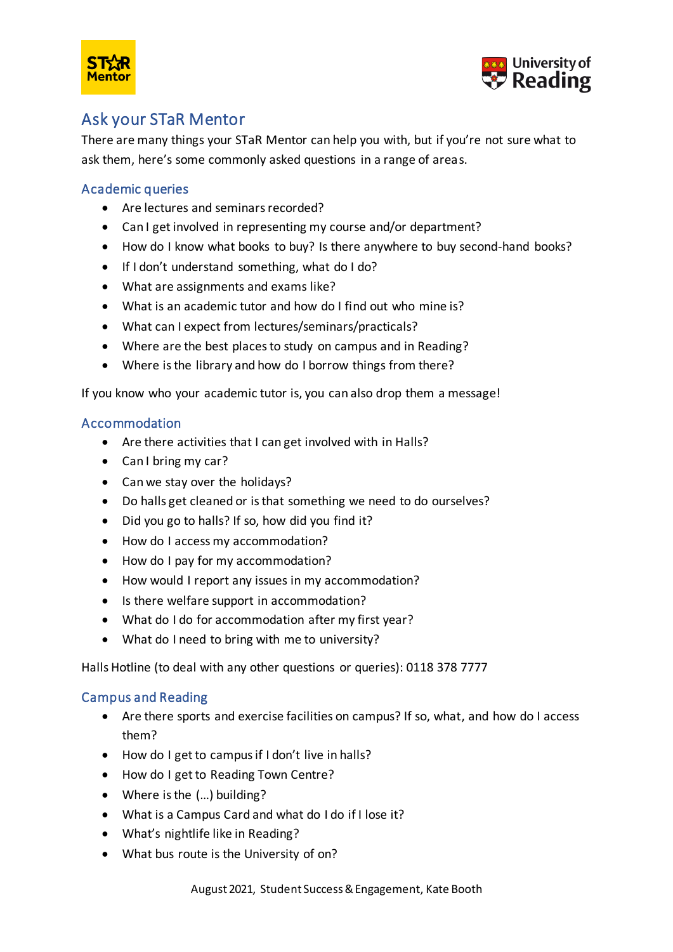



# Ask your STaR Mentor

There are many things your STaR Mentor can help you with, but if you're not sure what to ask them, here's some commonly asked questions in a range of areas.

# Academic queries

- Are lectures and seminars recorded?
- Can I get involved in representing my course and/or department?
- How do I know what books to buy? Is there anywhere to buy second-hand books?
- If I don't understand something, what do I do?
- What are assignments and exams like?
- What is an academic tutor and how do I find out who mine is?
- What can I expect from lectures/seminars/practicals?
- Where are the best places to study on campus and in Reading?
- Where is the library and how do I borrow things from there?

If you know who your academic tutor is, you can also drop them a message!

#### Accommodation

- Are there activities that I can get involved with in Halls?
- Can I bring my car?
- Can we stay over the holidays?
- Do halls get cleaned or is that something we need to do ourselves?
- Did you go to halls? If so, how did you find it?
- How do I access my accommodation?
- How do I pay for my accommodation?
- How would I report any issues in my accommodation?
- Is there welfare support in accommodation?
- What do I do for accommodation after my first year?
- What do I need to bring with me to university?

Halls Hotline (to deal with any other questions or queries): 0118 378 7777

#### Campus and Reading

- Are there sports and exercise facilities on campus? If so, what, and how do I access them?
- How do I get to campus if I don't live in halls?
- How do I get to Reading Town Centre?
- Where is the (...) building?
- What is a Campus Card and what do I do if I lose it?
- What's nightlife like in Reading?
- What bus route is the University of on?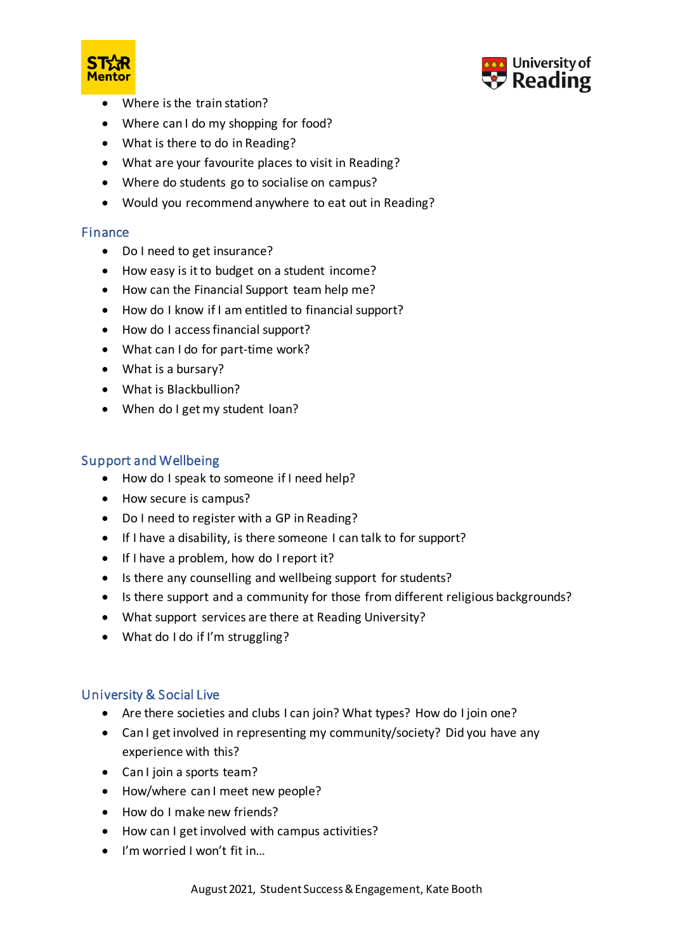



- Where is the train station?
- Where can I do my shopping for food?
- What is there to do in Reading?
- What are your favourite places to visit in Reading?
- Where do students go to socialise on campus?
- Would you recommend anywhere to eat out in Reading?

#### Finance

- Do I need to get insurance?
- How easy is it to budget on a student income?
- How can the Financial Support team help me?
- How do I know if I am entitled to financial support?
- How do I access financial support?
- What can I do for part-time work?
- What is a bursary?
- What is Blackbullion?
- When do I get my student loan?

## Support and Wellbeing

- How do I speak to someone if I need help?
- How secure is campus?
- Do I need to register with a GP in Reading?
- If I have a disability, is there someone I can talk to for support?
- If I have a problem, how do I report it?
- Is there any counselling and wellbeing support for students?
- Is there support and a community for those from different religious backgrounds?
- What support services are there at Reading University?
- What do I do if I'm struggling?

#### University & Social Live

- Are there societies and clubs I can join? What types? How do I join one?
- Can I get involved in representing my community/society? Did you have any experience with this?
- Can I join a sports team?
- How/where can I meet new people?
- How do I make new friends?
- How can I get involved with campus activities?
- I'm worried I won't fit in…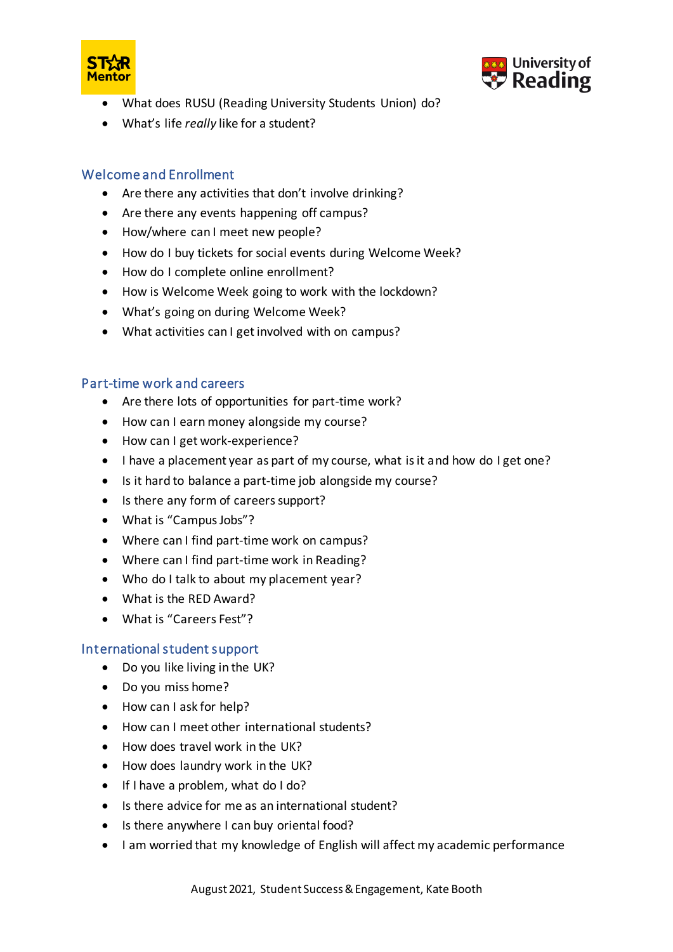



- What does RUSU (Reading University Students Union) do?
- What's life *really* like for a student?

## Welcome and Enrollment

- Are there any activities that don't involve drinking?
- Are there any events happening off campus?
- How/where can I meet new people?
- How do I buy tickets for social events during Welcome Week?
- How do I complete online enrollment?
- How is Welcome Week going to work with the lockdown?
- What's going on during Welcome Week?
- What activities can I get involved with on campus?

#### Part-time work and careers

- Are there lots of opportunities for part-time work?
- How can I earn money alongside my course?
- How can I get work-experience?
- I have a placement year as part of my course, what is it and how do I get one?
- Is it hard to balance a part-time job alongside my course?
- Is there any form of careers support?
- What is "Campus Jobs"?
- Where can I find part-time work on campus?
- Where can I find part-time work in Reading?
- Who do I talk to about my placement year?
- What is the RED Award?
- What is "Careers Fest"?

#### International student support

- Do you like living in the UK?
- Do you miss home?
- How can I ask for help?
- How can I meet other international students?
- How does travel work in the UK?
- How does laundry work in the UK?
- If I have a problem, what do I do?
- Is there advice for me as an international student?
- Is there anywhere I can buy oriental food?
- I am worried that my knowledge of English will affect my academic performance